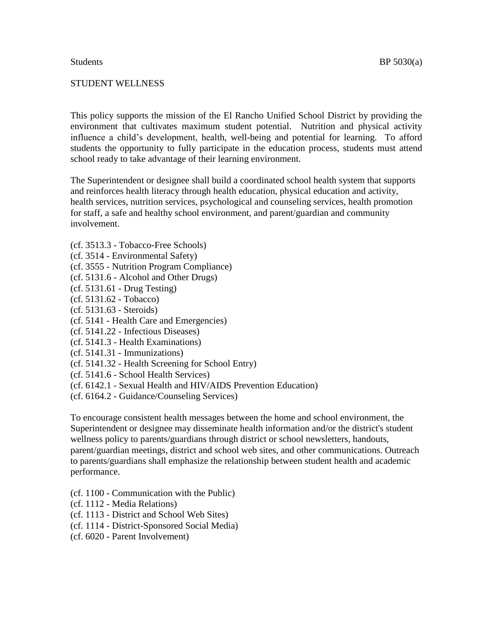### STUDENT WELLNESS

This policy supports the mission of the El Rancho Unified School District by providing the environment that cultivates maximum student potential. Nutrition and physical activity influence a child's development, health, well-being and potential for learning. To afford students the opportunity to fully participate in the education process, students must attend school ready to take advantage of their learning environment.

The Superintendent or designee shall build a coordinated school health system that supports and reinforces health literacy through health education, physical education and activity, health services, nutrition services, psychological and counseling services, health promotion for staff, a safe and healthy school environment, and parent/guardian and community involvement.

- (cf. 3513.3 Tobacco-Free Schools)
- (cf. 3514 Environmental Safety)
- (cf. 3555 Nutrition Program Compliance)
- (cf. 5131.6 Alcohol and Other Drugs)
- (cf. 5131.61 Drug Testing)
- (cf. 5131.62 Tobacco)
- (cf. 5131.63 Steroids)
- (cf. 5141 Health Care and Emergencies)
- (cf. 5141.22 Infectious Diseases)
- (cf. 5141.3 Health Examinations)
- (cf. 5141.31 Immunizations)
- (cf. 5141.32 Health Screening for School Entry)
- (cf. 5141.6 School Health Services)
- (cf. 6142.1 Sexual Health and HIV/AIDS Prevention Education)
- (cf. 6164.2 Guidance/Counseling Services)

To encourage consistent health messages between the home and school environment, the Superintendent or designee may disseminate health information and/or the district's student wellness policy to parents/guardians through district or school newsletters, handouts, parent/guardian meetings, district and school web sites, and other communications. Outreach to parents/guardians shall emphasize the relationship between student health and academic performance.

- (cf. 1100 Communication with the Public)
- (cf. 1112 Media Relations)
- (cf. 1113 District and School Web Sites)
- (cf. 1114 District-Sponsored Social Media)
- (cf. 6020 Parent Involvement)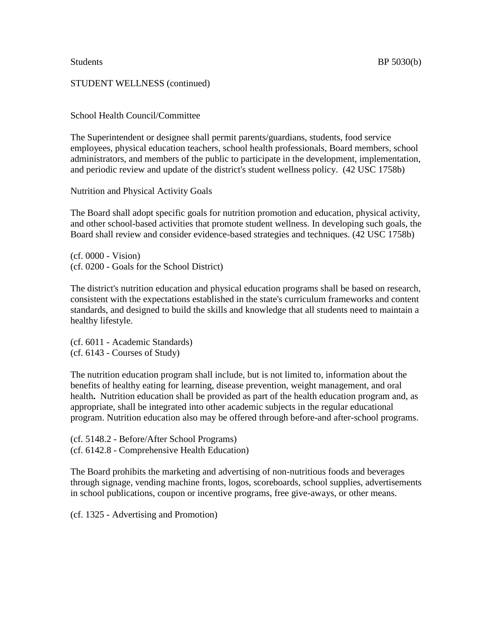School Health Council/Committee

The Superintendent or designee shall permit parents/guardians, students, food service employees, physical education teachers, school health professionals, Board members, school administrators, and members of the public to participate in the development, implementation, and periodic review and update of the district's student wellness policy. (42 USC 1758b)

Nutrition and Physical Activity Goals

The Board shall adopt specific goals for nutrition promotion and education, physical activity, and other school-based activities that promote student wellness. In developing such goals, the Board shall review and consider evidence-based strategies and techniques. (42 USC 1758b)

(cf. 0000 - Vision) (cf. 0200 - Goals for the School District)

The district's nutrition education and physical education programs shall be based on research, consistent with the expectations established in the state's curriculum frameworks and content standards, and designed to build the skills and knowledge that all students need to maintain a healthy lifestyle.

(cf. 6011 - Academic Standards) (cf. 6143 - Courses of Study)

The nutrition education program shall include, but is not limited to, information about the benefits of healthy eating for learning, disease prevention, weight management, and oral health**.** Nutrition education shall be provided as part of the health education program and, as appropriate, shall be integrated into other academic subjects in the regular educational program. Nutrition education also may be offered through before-and after-school programs.

(cf. 5148.2 - Before/After School Programs) (cf. 6142.8 - Comprehensive Health Education)

The Board prohibits the marketing and advertising of non-nutritious foods and beverages through signage, vending machine fronts, logos, scoreboards, school supplies, advertisements in school publications, coupon or incentive programs, free give-aways, or other means.

(cf. 1325 - Advertising and Promotion)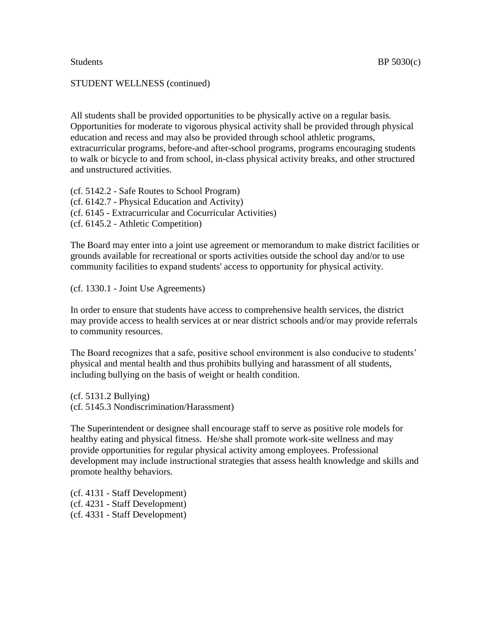All students shall be provided opportunities to be physically active on a regular basis. Opportunities for moderate to vigorous physical activity shall be provided through physical education and recess and may also be provided through school athletic programs, extracurricular programs, before-and after-school programs, programs encouraging students to walk or bicycle to and from school, in-class physical activity breaks, and other structured and unstructured activities.

(cf. 5142.2 - Safe Routes to School Program) (cf. 6142.7 - Physical Education and Activity) (cf. 6145 - Extracurricular and Cocurricular Activities) (cf. 6145.2 - Athletic Competition)

The Board may enter into a joint use agreement or memorandum to make district facilities or grounds available for recreational or sports activities outside the school day and/or to use community facilities to expand students' access to opportunity for physical activity.

(cf. 1330.1 - Joint Use Agreements)

In order to ensure that students have access to comprehensive health services, the district may provide access to health services at or near district schools and/or may provide referrals to community resources.

The Board recognizes that a safe, positive school environment is also conducive to students' physical and mental health and thus prohibits bullying and harassment of all students, including bullying on the basis of weight or health condition.

(cf. 5131.2 Bullying) (cf. 5145.3 Nondiscrimination/Harassment)

The Superintendent or designee shall encourage staff to serve as positive role models for healthy eating and physical fitness. He/she shall promote work-site wellness and may provide opportunities for regular physical activity among employees. Professional development may include instructional strategies that assess health knowledge and skills and promote healthy behaviors.

(cf. 4131 - Staff Development) (cf. 4231 - Staff Development) (cf. 4331 - Staff Development)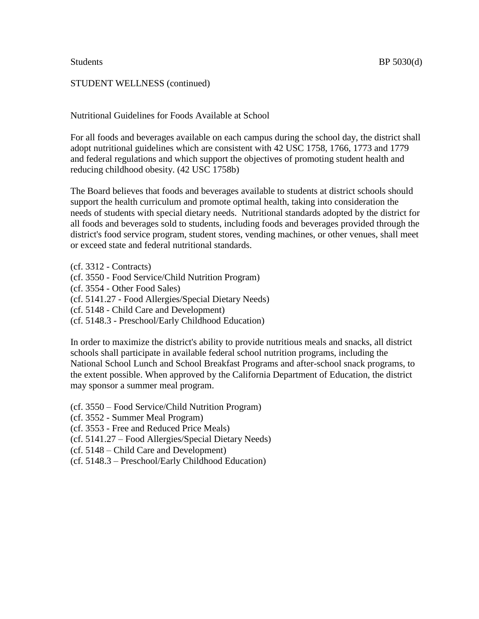Nutritional Guidelines for Foods Available at School

For all foods and beverages available on each campus during the school day, the district shall adopt nutritional guidelines which are consistent with 42 USC 1758, 1766, 1773 and 1779 and federal regulations and which support the objectives of promoting student health and reducing childhood obesity. (42 USC 1758b)

The Board believes that foods and beverages available to students at district schools should support the health curriculum and promote optimal health, taking into consideration the needs of students with special dietary needs. Nutritional standards adopted by the district for all foods and beverages sold to students, including foods and beverages provided through the district's food service program, student stores, vending machines, or other venues, shall meet or exceed state and federal nutritional standards.

- (cf. 3312 Contracts)
- (cf. 3550 Food Service/Child Nutrition Program)
- (cf. 3554 Other Food Sales)
- (cf. 5141.27 Food Allergies/Special Dietary Needs)
- (cf. 5148 Child Care and Development)
- (cf. 5148.3 Preschool/Early Childhood Education)

In order to maximize the district's ability to provide nutritious meals and snacks, all district schools shall participate in available federal school nutrition programs, including the National School Lunch and School Breakfast Programs and after-school snack programs, to the extent possible. When approved by the California Department of Education, the district may sponsor a summer meal program.

- (cf. 3550 Food Service/Child Nutrition Program)
- (cf. 3552 Summer Meal Program)
- (cf. 3553 Free and Reduced Price Meals)
- (cf. 5141.27 Food Allergies/Special Dietary Needs)
- (cf. 5148 Child Care and Development)
- (cf. 5148.3 Preschool/Early Childhood Education)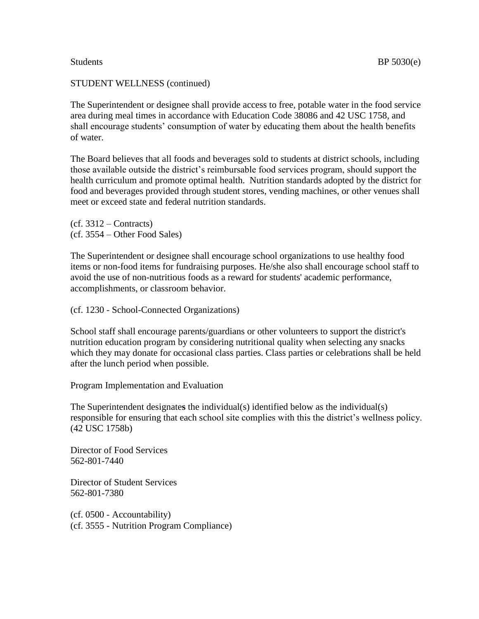The Superintendent or designee shall provide access to free, potable water in the food service area during meal times in accordance with Education Code 38086 and 42 USC 1758, and shall encourage students' consumption of water by educating them about the health benefits of water.

The Board believes that all foods and beverages sold to students at district schools, including those available outside the district's reimbursable food services program, should support the health curriculum and promote optimal health. Nutrition standards adopted by the district for food and beverages provided through student stores, vending machines, or other venues shall meet or exceed state and federal nutrition standards.

 $(cf. 3312 - Contracts)$ (cf. 3554 – Other Food Sales)

The Superintendent or designee shall encourage school organizations to use healthy food items or non-food items for fundraising purposes. He/she also shall encourage school staff to avoid the use of non-nutritious foods as a reward for students' academic performance, accomplishments, or classroom behavior.

(cf. 1230 - School-Connected Organizations)

School staff shall encourage parents/guardians or other volunteers to support the district's nutrition education program by considering nutritional quality when selecting any snacks which they may donate for occasional class parties. Class parties or celebrations shall be held after the lunch period when possible.

Program Implementation and Evaluation

The Superintendent designate**s** the individual(s) identified below as the individual(s) responsible for ensuring that each school site complies with this the district's wellness policy. (42 USC 1758b)

Director of Food Services 562-801-7440

Director of Student Services 562-801-7380

(cf. 0500 - Accountability) (cf. 3555 - Nutrition Program Compliance)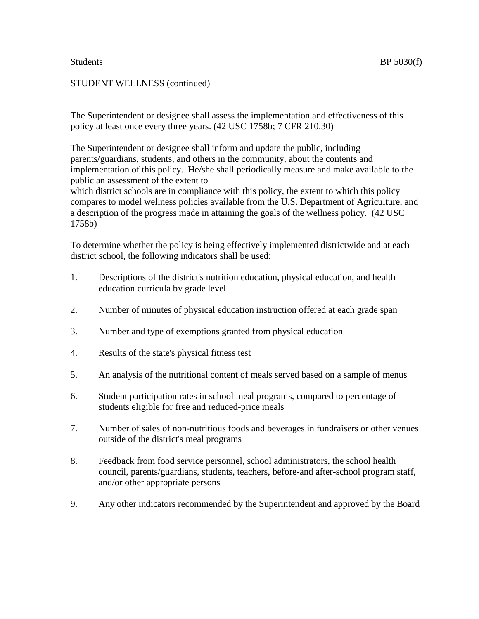The Superintendent or designee shall assess the implementation and effectiveness of this policy at least once every three years. (42 USC 1758b; 7 CFR 210.30)

The Superintendent or designee shall inform and update the public, including parents/guardians, students, and others in the community, about the contents and implementation of this policy. He/she shall periodically measure and make available to the public an assessment of the extent to

which district schools are in compliance with this policy, the extent to which this policy compares to model wellness policies available from the U.S. Department of Agriculture, and a description of the progress made in attaining the goals of the wellness policy. (42 USC 1758b)

To determine whether the policy is being effectively implemented districtwide and at each district school, the following indicators shall be used:

- 1. Descriptions of the district's nutrition education, physical education, and health education curricula by grade level
- 2. Number of minutes of physical education instruction offered at each grade span
- 3. Number and type of exemptions granted from physical education
- 4. Results of the state's physical fitness test
- 5. An analysis of the nutritional content of meals served based on a sample of menus
- 6. Student participation rates in school meal programs, compared to percentage of students eligible for free and reduced-price meals
- 7. Number of sales of non-nutritious foods and beverages in fundraisers or other venues outside of the district's meal programs
- 8. Feedback from food service personnel, school administrators, the school health council, parents/guardians, students, teachers, before-and after-school program staff, and/or other appropriate persons
- 9. Any other indicators recommended by the Superintendent and approved by the Board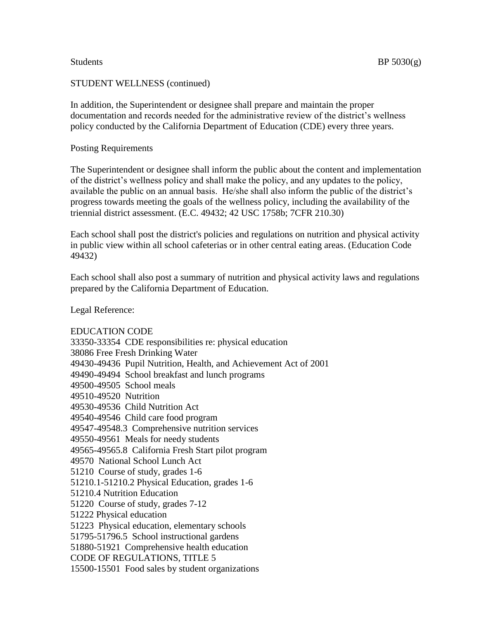In addition, the Superintendent or designee shall prepare and maintain the proper documentation and records needed for the administrative review of the district's wellness policy conducted by the California Department of Education (CDE) every three years.

### Posting Requirements

The Superintendent or designee shall inform the public about the content and implementation of the district's wellness policy and shall make the policy, and any updates to the policy, available the public on an annual basis. He/she shall also inform the public of the district's progress towards meeting the goals of the wellness policy, including the availability of the triennial district assessment. (E.C. 49432; 42 USC 1758b; 7CFR 210.30)

Each school shall post the district's policies and regulations on nutrition and physical activity in public view within all school cafeterias or in other central eating areas. (Education Code 49432)

Each school shall also post a summary of nutrition and physical activity laws and regulations prepared by the California Department of Education.

Legal Reference:

# EDUCATION CODE

| 33350-33354 CDE responsibilities re: physical education          |
|------------------------------------------------------------------|
| 38086 Free Fresh Drinking Water                                  |
| 49430-49436 Pupil Nutrition, Health, and Achievement Act of 2001 |
| 49490-49494 School breakfast and lunch programs                  |
| 49500-49505 School meals                                         |
| 49510-49520 Nutrition                                            |
| 49530-49536 Child Nutrition Act                                  |
| 49540-49546 Child care food program                              |
| 49547-49548.3 Comprehensive nutrition services                   |
| 49550-49561 Meals for needy students                             |
| 49565-49565.8 California Fresh Start pilot program               |
| 49570 National School Lunch Act                                  |
| 51210 Course of study, grades 1-6                                |
| 51210.1-51210.2 Physical Education, grades 1-6                   |
| 51210.4 Nutrition Education                                      |
| 51220 Course of study, grades 7-12                               |
| 51222 Physical education                                         |
| 51223 Physical education, elementary schools                     |
| 51795-51796.5 School instructional gardens                       |
| 51880-51921 Comprehensive health education                       |
| CODE OF REGULATIONS, TITLE 5                                     |
| 15500-15501 Food sales by student organizations                  |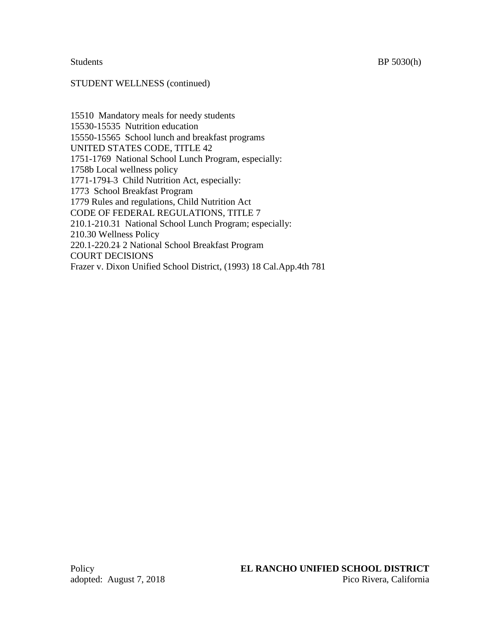15510 Mandatory meals for needy students 15530-15535 Nutrition education 15550-15565 School lunch and breakfast programs UNITED STATES CODE, TITLE 42 1751-1769 National School Lunch Program, especially: 1758b Local wellness policy 1771-1794-3 Child Nutrition Act, especially: 1773 School Breakfast Program 1779 Rules and regulations, Child Nutrition Act CODE OF FEDERAL REGULATIONS, TITLE 7 210.1-210.31 National School Lunch Program; especially: 210.30 Wellness Policy 220.1-220.21 2 National School Breakfast Program COURT DECISIONS Frazer v. Dixon Unified School District, (1993) 18 Cal.App.4th 781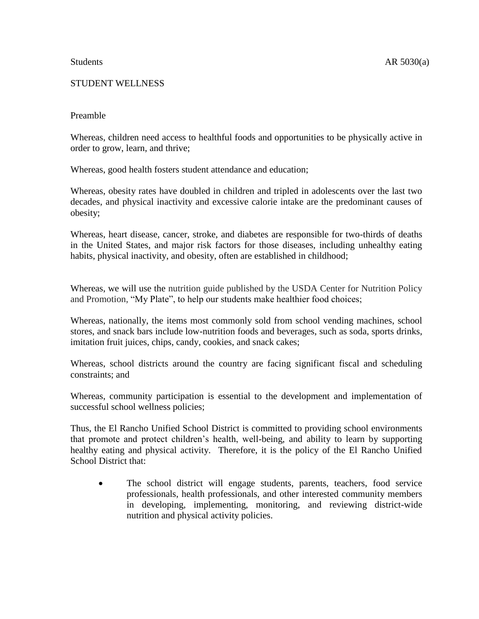## STUDENT WELLNESS

### Preamble

Whereas, children need access to healthful foods and opportunities to be physically active in order to grow, learn, and thrive;

Whereas, good health fosters student attendance and education;

Whereas, obesity rates have doubled in children and tripled in adolescents over the last two decades, and physical inactivity and excessive calorie intake are the predominant causes of obesity;

Whereas, heart disease, cancer, stroke, and diabetes are responsible for two-thirds of deaths in the United States, and major risk factors for those diseases, including unhealthy eating habits, physical inactivity, and obesity, often are established in childhood;

Whereas, we will use the nutrition guide published by the USDA Center for Nutrition Policy and Promotion, "My Plate", to help our students make healthier food choices;

Whereas, nationally, the items most commonly sold from school vending machines, school stores, and snack bars include low-nutrition foods and beverages, such as soda, sports drinks, imitation fruit juices, chips, candy, cookies, and snack cakes;

Whereas, school districts around the country are facing significant fiscal and scheduling constraints; and

Whereas, community participation is essential to the development and implementation of successful school wellness policies;

Thus, the El Rancho Unified School District is committed to providing school environments that promote and protect children's health, well-being, and ability to learn by supporting healthy eating and physical activity. Therefore, it is the policy of the El Rancho Unified School District that:

 The school district will engage students, parents, teachers, food service professionals, health professionals, and other interested community members in developing, implementing, monitoring, and reviewing district-wide nutrition and physical activity policies.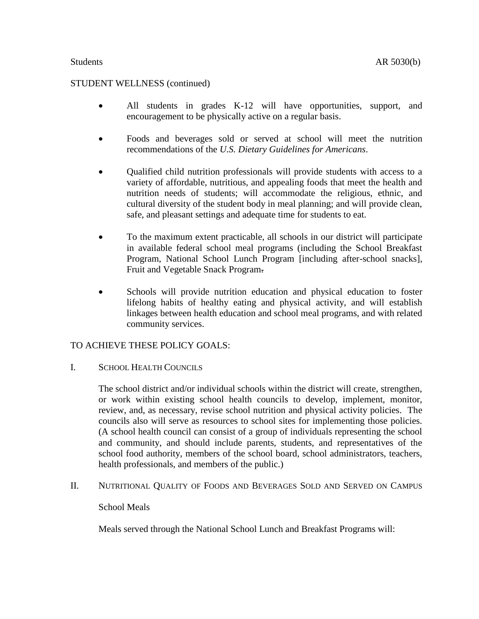- All students in grades K-12 will have opportunities, support, and encouragement to be physically active on a regular basis.
- Foods and beverages sold or served at school will meet the nutrition recommendations of the *U.S. Dietary Guidelines for Americans*.
- Qualified child nutrition professionals will provide students with access to a variety of affordable, nutritious, and appealing foods that meet the health and nutrition needs of students; will accommodate the religious, ethnic, and cultural diversity of the student body in meal planning; and will provide clean, safe, and pleasant settings and adequate time for students to eat.
- To the maximum extent practicable, all schools in our district will participate in available federal school meal programs (including the School Breakfast Program, National School Lunch Program [including after-school snacks], Fruit and Vegetable Snack Program.
- Schools will provide nutrition education and physical education to foster lifelong habits of healthy eating and physical activity, and will establish linkages between health education and school meal programs, and with related community services.

## TO ACHIEVE THESE POLICY GOALS:

## I. SCHOOL HEALTH COUNCILS

The school district and/or individual schools within the district will create, strengthen, or work within existing school health councils to develop, implement, monitor, review, and, as necessary, revise school nutrition and physical activity policies. The councils also will serve as resources to school sites for implementing those policies. (A school health council can consist of a group of individuals representing the school and community, and should include parents, students, and representatives of the school food authority, members of the school board, school administrators, teachers, health professionals, and members of the public.)

## II. NUTRITIONAL QUALITY OF FOODS AND BEVERAGES SOLD AND SERVED ON CAMPUS

## School Meals

Meals served through the National School Lunch and Breakfast Programs will: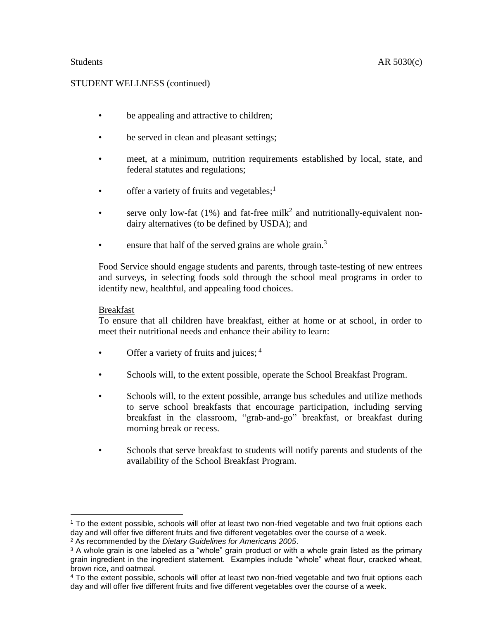- be appealing and attractive to children;
- be served in clean and pleasant settings;
- meet, at a minimum, nutrition requirements established by local, state, and federal statutes and regulations;
- offer a variety of fruits and vegetables;<sup>1</sup>
- e serve only low-fat  $(1%)$  and fat-free milk<sup>2</sup> and nutritionally-equivalent nondairy alternatives (to be defined by USDA); and
- ensure that half of the served grains are whole grain.<sup>3</sup>

Food Service should engage students and parents, through taste-testing of new entrees and surveys, in selecting foods sold through the school meal programs in order to identify new, healthful, and appealing food choices.

### Breakfast

 $\overline{a}$ 

To ensure that all children have breakfast, either at home or at school, in order to meet their nutritional needs and enhance their ability to learn:

- Offer a variety of fruits and juices;  $4$
- Schools will, to the extent possible, operate the School Breakfast Program.
- Schools will, to the extent possible, arrange bus schedules and utilize methods to serve school breakfasts that encourage participation, including serving breakfast in the classroom, "grab-and-go" breakfast, or breakfast during morning break or recess.
- Schools that serve breakfast to students will notify parents and students of the availability of the School Breakfast Program.

<sup>1</sup> To the extent possible, schools will offer at least two non-fried vegetable and two fruit options each day and will offer five different fruits and five different vegetables over the course of a week.

<sup>2</sup> As recommended by the *Dietary Guidelines for Americans 2005*.

 $3$  A whole grain is one labeled as a "whole" grain product or with a whole grain listed as the primary grain ingredient in the ingredient statement. Examples include "whole" wheat flour, cracked wheat, brown rice, and oatmeal.

<sup>&</sup>lt;sup>4</sup> To the extent possible, schools will offer at least two non-fried vegetable and two fruit options each day and will offer five different fruits and five different vegetables over the course of a week.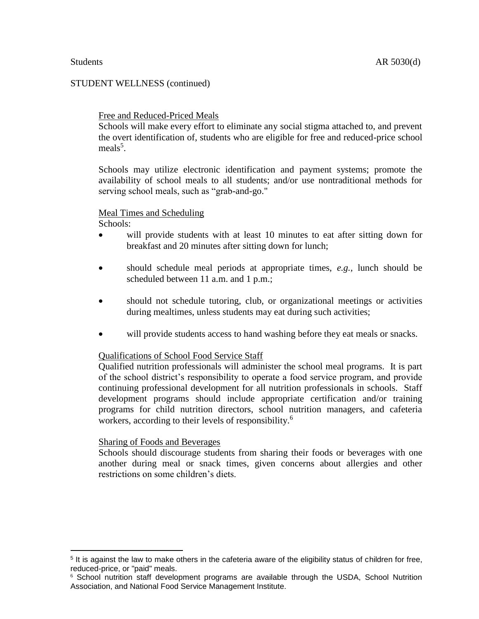### Free and Reduced-Priced Meals

Schools will make every effort to eliminate any social stigma attached to, and prevent the overt identification of, students who are eligible for free and reduced-price school meals<sup>5</sup>.

Schools may utilize electronic identification and payment systems; promote the availability of school meals to all students; and/or use nontraditional methods for serving school meals, such as "grab-and-go."

### Meal Times and Scheduling

Schools:

 $\overline{a}$ 

- will provide students with at least 10 minutes to eat after sitting down for breakfast and 20 minutes after sitting down for lunch;
- should schedule meal periods at appropriate times, *e.g.,* lunch should be scheduled between 11 a.m. and 1 p.m.;
- should not schedule tutoring, club, or organizational meetings or activities during mealtimes, unless students may eat during such activities;
- will provide students access to hand washing before they eat meals or snacks.

### Qualifications of School Food Service Staff

Qualified nutrition professionals will administer the school meal programs. It is part of the school district's responsibility to operate a food service program, and provide continuing professional development for all nutrition professionals in schools. Staff development programs should include appropriate certification and/or training programs for child nutrition directors, school nutrition managers, and cafeteria workers, according to their levels of responsibility.<sup>6</sup>

### Sharing of Foods and Beverages

Schools should discourage students from sharing their foods or beverages with one another during meal or snack times, given concerns about allergies and other restrictions on some children's diets.

<sup>&</sup>lt;sup>5</sup> It is against the law to make others in the cafeteria aware of the eligibility status of children for free, reduced-price, or "paid" meals.

<sup>&</sup>lt;sup>6</sup> School nutrition staff development programs are available through the USDA, School Nutrition Association, and National Food Service Management Institute.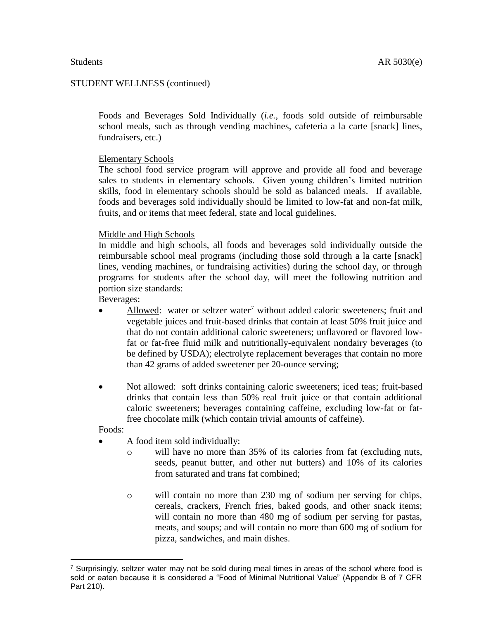Students AR 5030(e)

Foods and Beverages Sold Individually (*i.e.,* foods sold outside of reimbursable school meals, such as through vending machines, cafeteria a la carte [snack] lines, fundraisers, etc.)

# Elementary Schools

The school food service program will approve and provide all food and beverage sales to students in elementary schools. Given young children's limited nutrition skills, food in elementary schools should be sold as balanced meals. If available, foods and beverages sold individually should be limited to low-fat and non-fat milk, fruits, and or items that meet federal, state and local guidelines.

## Middle and High Schools

In middle and high schools, all foods and beverages sold individually outside the reimbursable school meal programs (including those sold through a la carte [snack] lines, vending machines, or fundraising activities) during the school day, or through programs for students after the school day, will meet the following nutrition and portion size standards:

Beverages:

- Allowed: water or seltzer water<sup>7</sup> without added caloric sweeteners; fruit and vegetable juices and fruit-based drinks that contain at least 50% fruit juice and that do not contain additional caloric sweeteners; unflavored or flavored lowfat or fat-free fluid milk and nutritionally-equivalent nondairy beverages (to be defined by USDA); electrolyte replacement beverages that contain no more than 42 grams of added sweetener per 20-ounce serving;
- Not allowed: soft drinks containing caloric sweeteners; iced teas; fruit-based drinks that contain less than 50% real fruit juice or that contain additional caloric sweeteners; beverages containing caffeine, excluding low-fat or fatfree chocolate milk (which contain trivial amounts of caffeine).

Foods:

 $\overline{a}$ 

- A food item sold individually:
	- o will have no more than 35% of its calories from fat (excluding nuts, seeds, peanut butter, and other nut butters) and 10% of its calories from saturated and trans fat combined;
	- o will contain no more than 230 mg of sodium per serving for chips, cereals, crackers, French fries, baked goods, and other snack items; will contain no more than 480 mg of sodium per serving for pastas, meats, and soups; and will contain no more than 600 mg of sodium for pizza, sandwiches, and main dishes.

 $7$  Surprisingly, seltzer water may not be sold during meal times in areas of the school where food is sold or eaten because it is considered a "Food of Minimal Nutritional Value" (Appendix B of 7 CFR Part 210).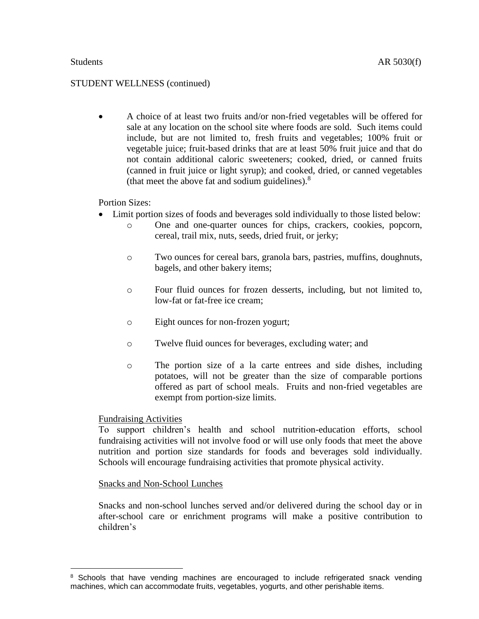A choice of at least two fruits and/or non-fried vegetables will be offered for sale at any location on the school site where foods are sold. Such items could include, but are not limited to, fresh fruits and vegetables; 100% fruit or vegetable juice; fruit-based drinks that are at least 50% fruit juice and that do not contain additional caloric sweeteners; cooked, dried, or canned fruits (canned in fruit juice or light syrup); and cooked, dried, or canned vegetables (that meet the above fat and sodium guidelines). $8$ 

# Portion Sizes:

- Limit portion sizes of foods and beverages sold individually to those listed below:
	- o One and one-quarter ounces for chips, crackers, cookies, popcorn, cereal, trail mix, nuts, seeds, dried fruit, or jerky;
	- o Two ounces for cereal bars, granola bars, pastries, muffins, doughnuts, bagels, and other bakery items;
	- o Four fluid ounces for frozen desserts, including, but not limited to, low-fat or fat-free ice cream;
	- o Eight ounces for non-frozen yogurt;
	- o Twelve fluid ounces for beverages, excluding water; and
	- o The portion size of a la carte entrees and side dishes, including potatoes, will not be greater than the size of comparable portions offered as part of school meals. Fruits and non-fried vegetables are exempt from portion-size limits.

## Fundraising Activities

 $\overline{a}$ 

To support children's health and school nutrition-education efforts, school fundraising activities will not involve food or will use only foods that meet the above nutrition and portion size standards for foods and beverages sold individually. Schools will encourage fundraising activities that promote physical activity.

## Snacks and Non-School Lunches

Snacks and non-school lunches served and/or delivered during the school day or in after-school care or enrichment programs will make a positive contribution to children's

<sup>&</sup>lt;sup>8</sup> Schools that have vending machines are encouraged to include refrigerated snack vending machines, which can accommodate fruits, vegetables, yogurts, and other perishable items.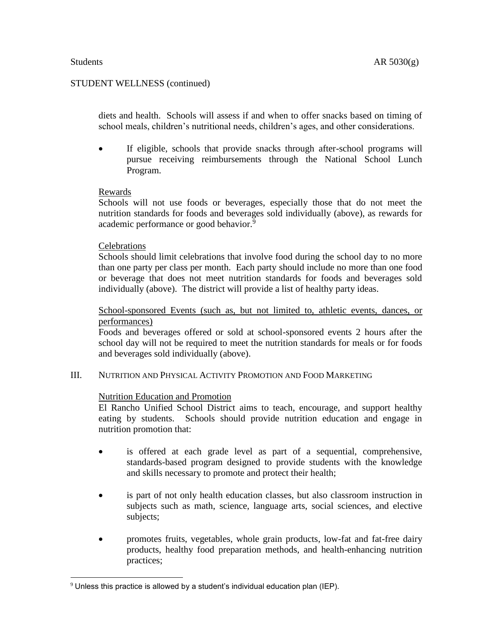$\overline{a}$ 

### STUDENT WELLNESS (continued)

diets and health. Schools will assess if and when to offer snacks based on timing of school meals, children's nutritional needs, children's ages, and other considerations.

 If eligible, schools that provide snacks through after-school programs will pursue receiving reimbursements through the National School Lunch Program.

## Rewards

Schools will not use foods or beverages, especially those that do not meet the nutrition standards for foods and beverages sold individually (above), as rewards for academic performance or good behavior.<sup>9</sup>

### **Celebrations**

Schools should limit celebrations that involve food during the school day to no more than one party per class per month. Each party should include no more than one food or beverage that does not meet nutrition standards for foods and beverages sold individually (above). The district will provide a list of healthy party ideas.

# School-sponsored Events (such as, but not limited to, athletic events, dances, or performances)

Foods and beverages offered or sold at school-sponsored events 2 hours after the school day will not be required to meet the nutrition standards for meals or for foods and beverages sold individually (above).

## III. NUTRITION AND PHYSICAL ACTIVITY PROMOTION AND FOOD MARKETING

## Nutrition Education and Promotion

El Rancho Unified School District aims to teach, encourage, and support healthy eating by students. Schools should provide nutrition education and engage in nutrition promotion that:

- is offered at each grade level as part of a sequential, comprehensive, standards-based program designed to provide students with the knowledge and skills necessary to promote and protect their health;
- is part of not only health education classes, but also classroom instruction in subjects such as math, science, language arts, social sciences, and elective subjects;
- promotes fruits, vegetables, whole grain products, low-fat and fat-free dairy products, healthy food preparation methods, and health-enhancing nutrition practices;

 $9$  Unless this practice is allowed by a student's individual education plan (IEP).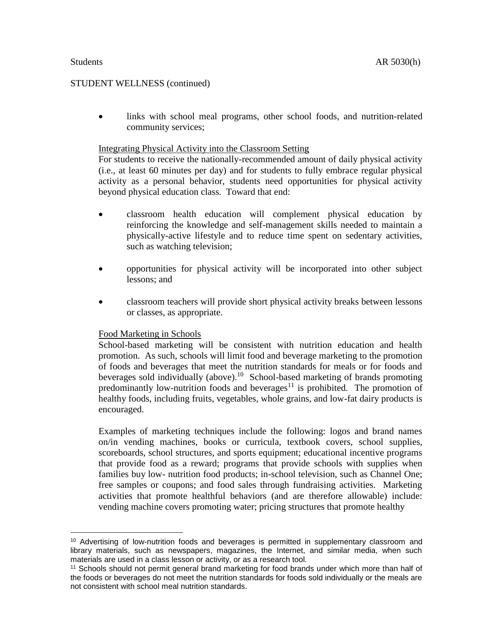$\overline{a}$ 

 links with school meal programs, other school foods, and nutrition-related community services;

# Integrating Physical Activity into the Classroom Setting

For students to receive the nationally-recommended amount of daily physical activity (i.e., at least 60 minutes per day) and for students to fully embrace regular physical activity as a personal behavior, students need opportunities for physical activity beyond physical education class. Toward that end:

- classroom health education will complement physical education by reinforcing the knowledge and self-management skills needed to maintain a physically-active lifestyle and to reduce time spent on sedentary activities, such as watching television;
- opportunities for physical activity will be incorporated into other subject lessons; and
- classroom teachers will provide short physical activity breaks between lessons or classes, as appropriate.

# Food Marketing in Schools

School-based marketing will be consistent with nutrition education and health promotion. As such, schools will limit food and beverage marketing to the promotion of foods and beverages that meet the nutrition standards for meals or for foods and beverages sold individually (above).<sup>10</sup> School-based marketing of brands promoting predominantly low-nutrition foods and beverages $11$  is prohibited. The promotion of healthy foods, including fruits, vegetables, whole grains, and low-fat dairy products is encouraged.

Examples of marketing techniques include the following: logos and brand names on/in vending machines, books or curricula, textbook covers, school supplies, scoreboards, school structures, and sports equipment; educational incentive programs that provide food as a reward; programs that provide schools with supplies when families buy low- nutrition food products; in-school television, such as Channel One; free samples or coupons; and food sales through fundraising activities. Marketing activities that promote healthful behaviors (and are therefore allowable) include: vending machine covers promoting water; pricing structures that promote healthy

<sup>&</sup>lt;sup>10</sup> Advertising of low-nutrition foods and beverages is permitted in supplementary classroom and library materials, such as newspapers, magazines, the Internet, and similar media, when such materials are used in a class lesson or activity, or as a research tool.

<sup>11</sup> Schools should not permit general brand marketing for food brands under which more than half of the foods or beverages do not meet the nutrition standards for foods sold individually or the meals are not consistent with school meal nutrition standards.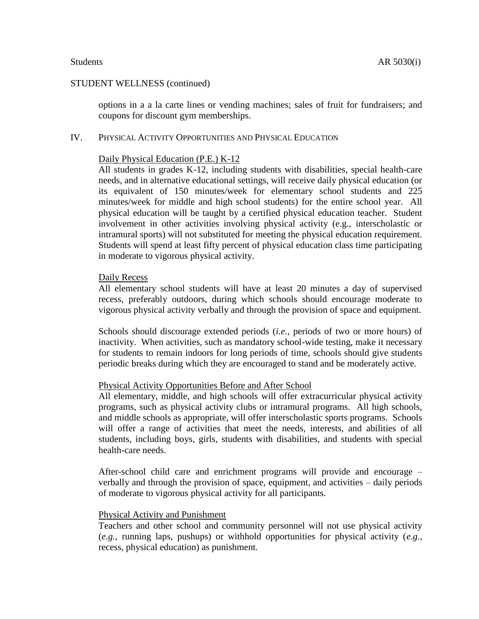options in a a la carte lines or vending machines; sales of fruit for fundraisers; and coupons for discount gym memberships.

### IV. PHYSICAL ACTIVITY OPPORTUNITIES AND PHYSICAL EDUCATION

## Daily Physical Education (P.E.) K-12

All students in grades K-12, including students with disabilities, special health-care needs, and in alternative educational settings, will receive daily physical education (or its equivalent of 150 minutes/week for elementary school students and 225 minutes/week for middle and high school students) for the entire school year. All physical education will be taught by a certified physical education teacher. Student involvement in other activities involving physical activity (e.g., interscholastic or intramural sports) will not substituted for meeting the physical education requirement. Students will spend at least fifty percent of physical education class time participating in moderate to vigorous physical activity.

### Daily Recess

All elementary school students will have at least 20 minutes a day of supervised recess, preferably outdoors, during which schools should encourage moderate to vigorous physical activity verbally and through the provision of space and equipment.

Schools should discourage extended periods (*i.e.,* periods of two or more hours) of inactivity. When activities, such as mandatory school-wide testing, make it necessary for students to remain indoors for long periods of time, schools should give students periodic breaks during which they are encouraged to stand and be moderately active.

### Physical Activity Opportunities Before and After School

All elementary, middle, and high schools will offer extracurricular physical activity programs, such as physical activity clubs or intramural programs. All high schools, and middle schools as appropriate, will offer interscholastic sports programs. Schools will offer a range of activities that meet the needs, interests, and abilities of all students, including boys, girls, students with disabilities, and students with special health-care needs.

After-school child care and enrichment programs will provide and encourage – verbally and through the provision of space, equipment, and activities – daily periods of moderate to vigorous physical activity for all participants.

## Physical Activity and Punishment

Teachers and other school and community personnel will not use physical activity (*e.g.,* running laps, pushups) or withhold opportunities for physical activity (*e.g.,* recess, physical education) as punishment.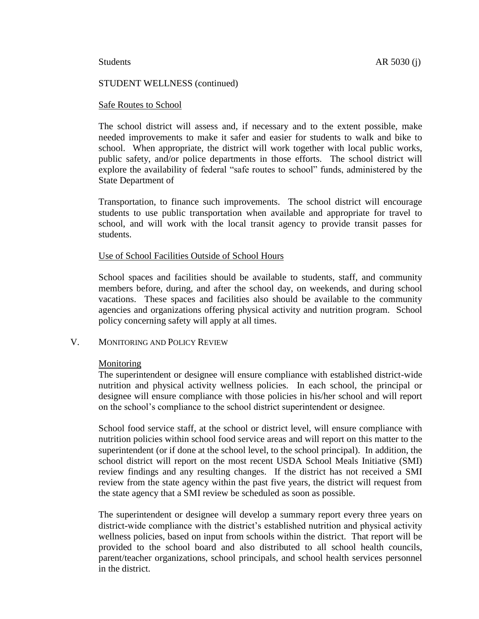### Safe Routes to School

The school district will assess and, if necessary and to the extent possible, make needed improvements to make it safer and easier for students to walk and bike to school. When appropriate, the district will work together with local public works, public safety, and/or police departments in those efforts. The school district will explore the availability of federal "safe routes to school" funds, administered by the State Department of

Transportation, to finance such improvements. The school district will encourage students to use public transportation when available and appropriate for travel to school, and will work with the local transit agency to provide transit passes for students.

### Use of School Facilities Outside of School Hours

School spaces and facilities should be available to students, staff, and community members before, during, and after the school day, on weekends, and during school vacations. These spaces and facilities also should be available to the community agencies and organizations offering physical activity and nutrition program. School policy concerning safety will apply at all times.

### V. MONITORING AND POLICY REVIEW

### Monitoring

The superintendent or designee will ensure compliance with established district-wide nutrition and physical activity wellness policies. In each school, the principal or designee will ensure compliance with those policies in his/her school and will report on the school's compliance to the school district superintendent or designee.

School food service staff, at the school or district level, will ensure compliance with nutrition policies within school food service areas and will report on this matter to the superintendent (or if done at the school level, to the school principal). In addition, the school district will report on the most recent USDA School Meals Initiative (SMI) review findings and any resulting changes. If the district has not received a SMI review from the state agency within the past five years, the district will request from the state agency that a SMI review be scheduled as soon as possible.

The superintendent or designee will develop a summary report every three years on district-wide compliance with the district's established nutrition and physical activity wellness policies, based on input from schools within the district. That report will be provided to the school board and also distributed to all school health councils, parent/teacher organizations, school principals, and school health services personnel in the district.